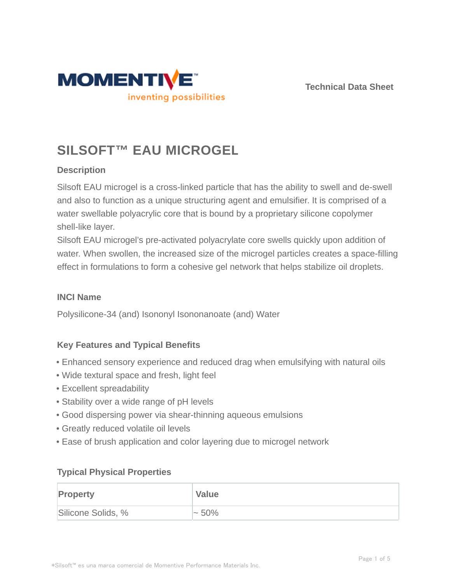



# **SILSOFT™ EAU MICROGEL**

# **Description**

Silsoft EAU microgel is a cross-linked particle that has the ability to swell and de-swell and also to function as a unique structuring agent and emulsifier. It is comprised of a water swellable polyacrylic core that is bound by a proprietary silicone copolymer shell-like layer.

Silsoft EAU microgel's pre-activated polyacrylate core swells quickly upon addition of water. When swollen, the increased size of the microgel particles creates a space-filling effect in formulations to form a cohesive gel network that helps stabilize oil droplets.

## **INCI Name**

Polysilicone-34 (and) Isononyl Isononanoate (and) Water

## **Key Features and Typical Benefits**

- Enhanced sensory experience and reduced drag when emulsifying with natural oils
- Wide textural space and fresh, light feel
- Excellent spreadability
- Stability over a wide range of pH levels
- Good dispersing power via shear-thinning aqueous emulsions
- Greatly reduced volatile oil levels
- Ease of brush application and color layering due to microgel network

## **Typical Physical Properties**

| <b>Property</b>    | <b>Value</b> |
|--------------------|--------------|
| Silicone Solids, % | $\sim 50\%$  |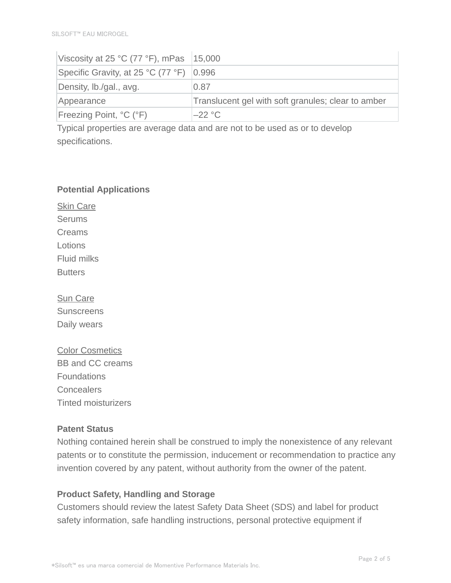| Viscosity at 25 °C (77 °F), mPas $ 15,000\rangle$ |                                                    |
|---------------------------------------------------|----------------------------------------------------|
| Specific Gravity, at 25 °C (77 °F)   0.996        |                                                    |
| Density, Ib./gal., avg.                           | 0.87                                               |
| Appearance                                        | Translucent gel with soft granules; clear to amber |
| <b>Freezing Point, °C (°F)</b>                    | $-22 °C$                                           |

Typical properties are average data and are not to be used as or to develop specifications.

#### **Potential Applications**

Skin Care **Serums** Creams Lotions Fluid milks **Butters** 

Sun Care **Sunscreens** Daily wears

Color Cosmetics BB and CC creams **Foundations Concealers** Tinted moisturizers

## **Patent Status**

Nothing contained herein shall be construed to imply the nonexistence of any relevant patents or to constitute the permission, inducement or recommendation to practice any invention covered by any patent, without authority from the owner of the patent.

## **Product Safety, Handling and Storage**

Customers should review the latest Safety Data Sheet (SDS) and label for product safety information, safe handling instructions, personal protective equipment if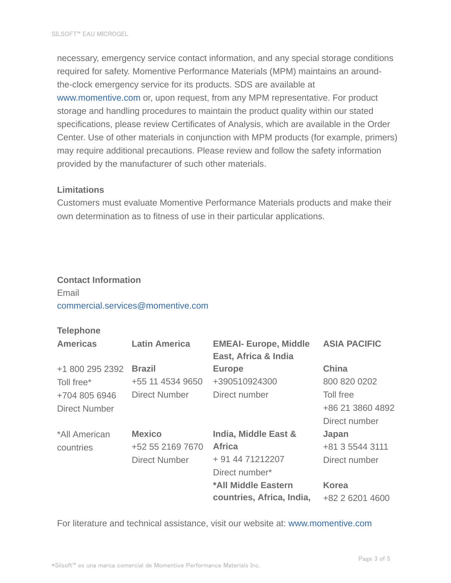necessary, emergency service contact information, and any special storage conditions required for safety. Momentive Performance Materials (MPM) maintains an aroundthe-clock emergency service for its products. SDS are available at www.momentive.com or, upon request, from any MPM representative. For product storage and handling procedures to maintain the product quality within our stated specifications, please review Certificates of Analysis, which are available in the Order Center. Use of other materials in conjunction with MPM products (for example, primers) may require additional precautions. Please review and follow the safety information provided by the manufacturer of such other materials.

## **Limitations**

Customers must evaluate Momentive Performance Materials products and make their own determination as to fitness of use in their particular applications.

#### **Contact Information**

# Email commercial.services@momentive.com

#### **Telephone**

| <b>Americas</b>      | <b>Latin America</b> | <b>EMEAI- Europe, Middle</b><br>East, Africa & India | <b>ASIA PACIFIC</b> |
|----------------------|----------------------|------------------------------------------------------|---------------------|
| +1 800 295 2392      | <b>Brazil</b>        | <b>Europe</b>                                        | <b>China</b>        |
| Toll free*           | +55 11 4534 9650     | +390510924300                                        | 800 820 0202        |
| +704 805 6946        | <b>Direct Number</b> | Direct number                                        | Toll free           |
| <b>Direct Number</b> |                      |                                                      | +86 21 3860 4892    |
|                      |                      |                                                      | Direct number       |
| *All American        | <b>Mexico</b>        | India, Middle East &                                 | Japan               |
| countries            | +52 55 2169 7670     | <b>Africa</b>                                        | +81 3 5544 3111     |
|                      | <b>Direct Number</b> | + 91 44 71212207                                     | Direct number       |
|                      |                      | Direct number*                                       |                     |
|                      |                      | *All Middle Eastern                                  | <b>Korea</b>        |
|                      |                      | countries, Africa, India,                            | +82 2 6201 4600     |

For literature and technical assistance, visit our website at: www.momentive.com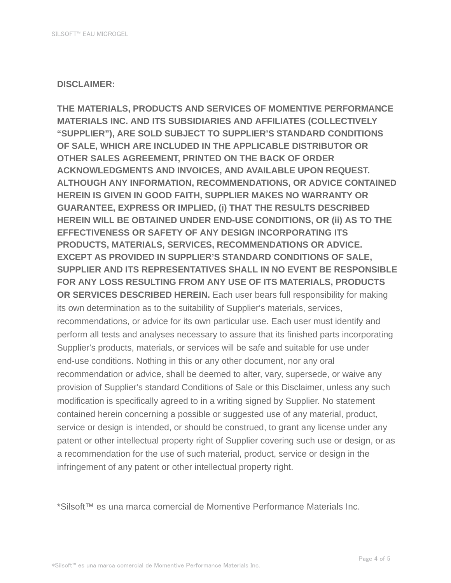#### **DISCLAIMER:**

**THE MATERIALS, PRODUCTS AND SERVICES OF MOMENTIVE PERFORMANCE MATERIALS INC. AND ITS SUBSIDIARIES AND AFFILIATES (COLLECTIVELY "SUPPLIER"), ARE SOLD SUBJECT TO SUPPLIER'S STANDARD CONDITIONS OF SALE, WHICH ARE INCLUDED IN THE APPLICABLE DISTRIBUTOR OR OTHER SALES AGREEMENT, PRINTED ON THE BACK OF ORDER ACKNOWLEDGMENTS AND INVOICES, AND AVAILABLE UPON REQUEST. ALTHOUGH ANY INFORMATION, RECOMMENDATIONS, OR ADVICE CONTAINED HEREIN IS GIVEN IN GOOD FAITH, SUPPLIER MAKES NO WARRANTY OR GUARANTEE, EXPRESS OR IMPLIED, (i) THAT THE RESULTS DESCRIBED HEREIN WILL BE OBTAINED UNDER END-USE CONDITIONS, OR (ii) AS TO THE EFFECTIVENESS OR SAFETY OF ANY DESIGN INCORPORATING ITS PRODUCTS, MATERIALS, SERVICES, RECOMMENDATIONS OR ADVICE. EXCEPT AS PROVIDED IN SUPPLIER'S STANDARD CONDITIONS OF SALE, SUPPLIER AND ITS REPRESENTATIVES SHALL IN NO EVENT BE RESPONSIBLE FOR ANY LOSS RESULTING FROM ANY USE OF ITS MATERIALS, PRODUCTS OR SERVICES DESCRIBED HEREIN.** Each user bears full responsibility for making its own determination as to the suitability of Supplier's materials, services, recommendations, or advice for its own particular use. Each user must identify and perform all tests and analyses necessary to assure that its finished parts incorporating Supplier's products, materials, or services will be safe and suitable for use under end-use conditions. Nothing in this or any other document, nor any oral recommendation or advice, shall be deemed to alter, vary, supersede, or waive any provision of Supplier's standard Conditions of Sale or this Disclaimer, unless any such modification is specifically agreed to in a writing signed by Supplier. No statement contained herein concerning a possible or suggested use of any material, product, service or design is intended, or should be construed, to grant any license under any patent or other intellectual property right of Supplier covering such use or design, or as a recommendation for the use of such material, product, service or design in the infringement of any patent or other intellectual property right.

\*Silsoft™ es una marca comercial de Momentive Performance Materials Inc.